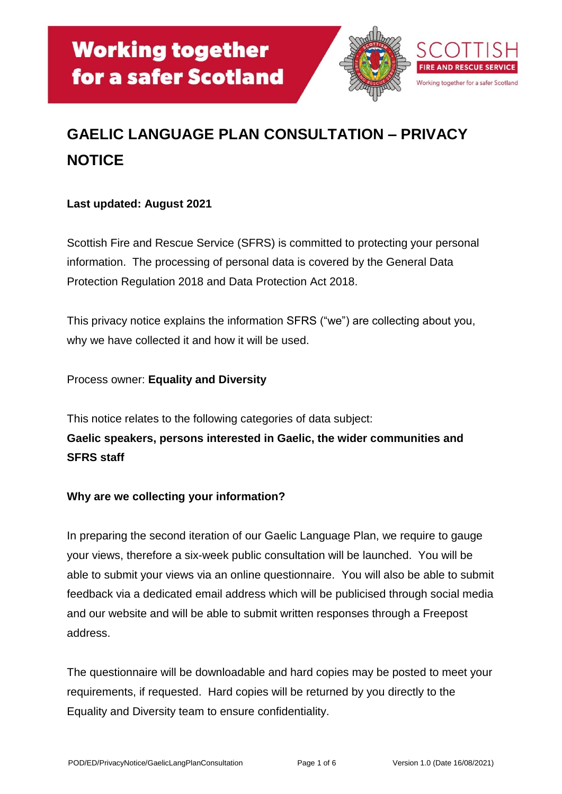

# **GAELIC LANGUAGE PLAN CONSULTATION – PRIVACY NOTICE**

## **Last updated: August 2021**

Scottish Fire and Rescue Service (SFRS) is committed to protecting your personal information. The processing of personal data is covered by the General Data Protection Regulation 2018 and Data Protection Act 2018.

This privacy notice explains the information SFRS ("we") are collecting about you, why we have collected it and how it will be used.

#### Process owner: **Equality and Diversity**

This notice relates to the following categories of data subject: **Gaelic speakers, persons interested in Gaelic, the wider communities and SFRS staff**

### **Why are we collecting your information?**

In preparing the second iteration of our Gaelic Language Plan, we require to gauge your views, therefore a six-week public consultation will be launched. You will be able to submit your views via an online questionnaire. You will also be able to submit feedback via a dedicated email address which will be publicised through social media and our website and will be able to submit written responses through a Freepost address.

The questionnaire will be downloadable and hard copies may be posted to meet your requirements, if requested. Hard copies will be returned by you directly to the Equality and Diversity team to ensure confidentiality.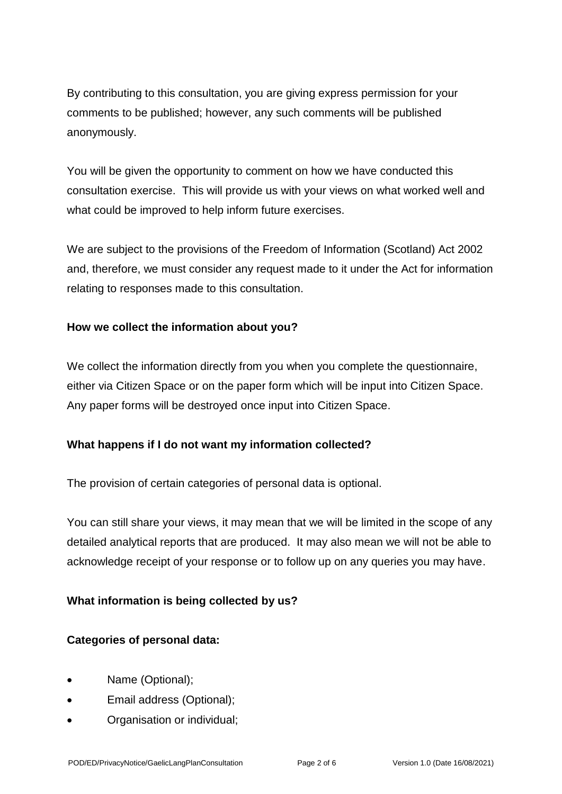By contributing to this consultation, you are giving express permission for your comments to be published; however, any such comments will be published anonymously.

You will be given the opportunity to comment on how we have conducted this consultation exercise. This will provide us with your views on what worked well and what could be improved to help inform future exercises.

We are subject to the provisions of the Freedom of Information (Scotland) Act 2002 and, therefore, we must consider any request made to it under the Act for information relating to responses made to this consultation.

### **How we collect the information about you?**

We collect the information directly from you when you complete the questionnaire, either via Citizen Space or on the paper form which will be input into Citizen Space. Any paper forms will be destroyed once input into Citizen Space.

### **What happens if I do not want my information collected?**

The provision of certain categories of personal data is optional.

You can still share your views, it may mean that we will be limited in the scope of any detailed analytical reports that are produced. It may also mean we will not be able to acknowledge receipt of your response or to follow up on any queries you may have.

### **What information is being collected by us?**

### **Categories of personal data:**

- Name (Optional);
- Email address (Optional);
- Organisation or individual;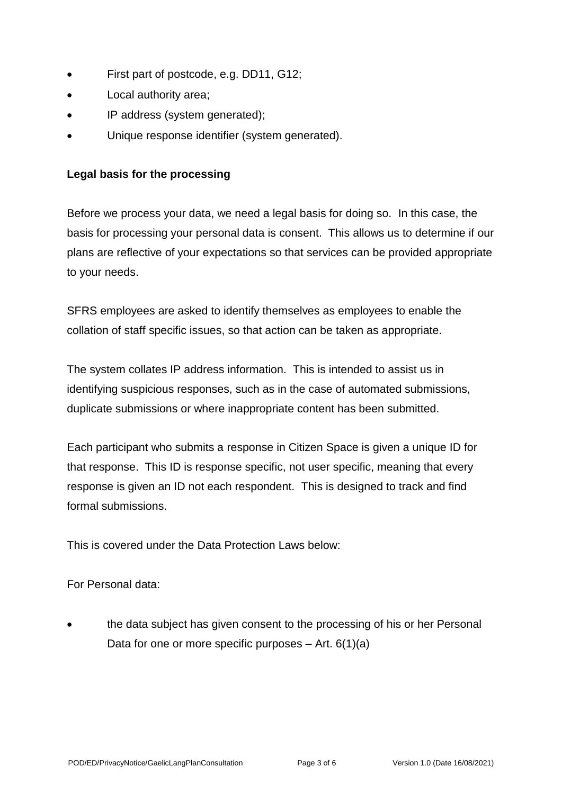- First part of postcode, e.g. DD11, G12;
- Local authority area;
- IP address (system generated);
- Unique response identifier (system generated).

#### **Legal basis for the processing**

Before we process your data, we need a legal basis for doing so. In this case, the basis for processing your personal data is consent. This allows us to determine if our plans are reflective of your expectations so that services can be provided appropriate to your needs.

SFRS employees are asked to identify themselves as employees to enable the collation of staff specific issues, so that action can be taken as appropriate.

The system collates IP address information. This is intended to assist us in identifying suspicious responses, such as in the case of automated submissions, duplicate submissions or where inappropriate content has been submitted.

Each participant who submits a response in Citizen Space is given a unique ID for that response. This ID is response specific, not user specific, meaning that every response is given an ID not each respondent. This is designed to track and find formal submissions.

This is covered under the Data Protection Laws below:

For Personal data:

• the data subject has given consent to the processing of his or her Personal Data for one or more specific purposes  $-$  Art. 6(1)(a)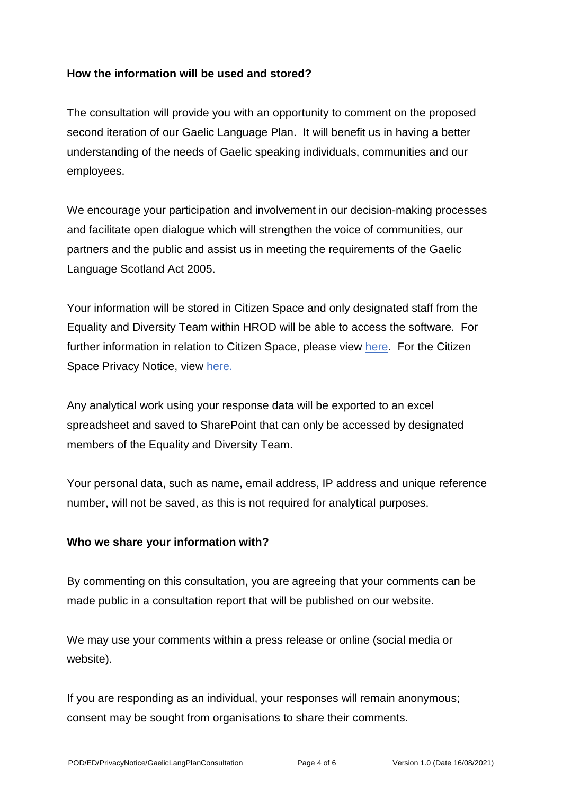#### **How the information will be used and stored?**

The consultation will provide you with an opportunity to comment on the proposed second iteration of our Gaelic Language Plan. It will benefit us in having a better understanding of the needs of Gaelic speaking individuals, communities and our employees.

We encourage your participation and involvement in our decision-making processes and facilitate open dialogue which will strengthen the voice of communities, our partners and the public and assist us in meeting the requirements of the Gaelic Language Scotland Act 2005.

Your information will be stored in Citizen Space and only designated staff from the Equality and Diversity Team within HROD will be able to access the software. For further information in relation to Citizen Space, please view [here.](https://www.delib.net/citizen_space) For the Citizen Space Privacy Notice, view [here.](https://www.delib.net/legal/privacy_notice)

Any analytical work using your response data will be exported to an excel spreadsheet and saved to SharePoint that can only be accessed by designated members of the Equality and Diversity Team.

Your personal data, such as name, email address, IP address and unique reference number, will not be saved, as this is not required for analytical purposes.

#### **Who we share your information with?**

By commenting on this consultation, you are agreeing that your comments can be made public in a consultation report that will be published on our website.

We may use your comments within a press release or online (social media or website).

If you are responding as an individual, your responses will remain anonymous; consent may be sought from organisations to share their comments.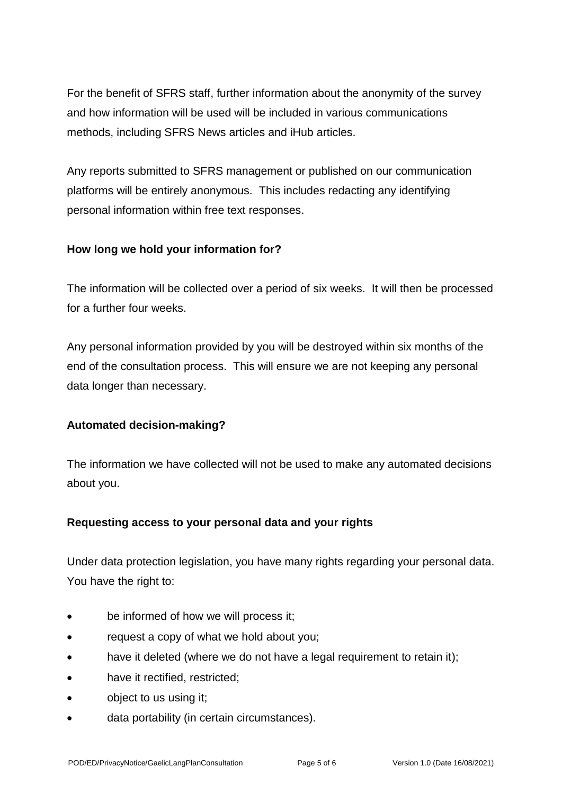For the benefit of SFRS staff, further information about the anonymity of the survey and how information will be used will be included in various communications methods, including SFRS News articles and iHub articles.

Any reports submitted to SFRS management or published on our communication platforms will be entirely anonymous. This includes redacting any identifying personal information within free text responses.

### **How long we hold your information for?**

The information will be collected over a period of six weeks. It will then be processed for a further four weeks.

Any personal information provided by you will be destroyed within six months of the end of the consultation process. This will ensure we are not keeping any personal data longer than necessary.

# **Automated decision-making?**

The information we have collected will not be used to make any automated decisions about you.

### **Requesting access to your personal data and your rights**

Under data protection legislation, you have many rights regarding your personal data. You have the right to:

- be informed of how we will process it:
- request a copy of what we hold about you;
- have it deleted (where we do not have a legal requirement to retain it);
- have it rectified, restricted:
- **object to us using it;**
- data portability (in certain circumstances).